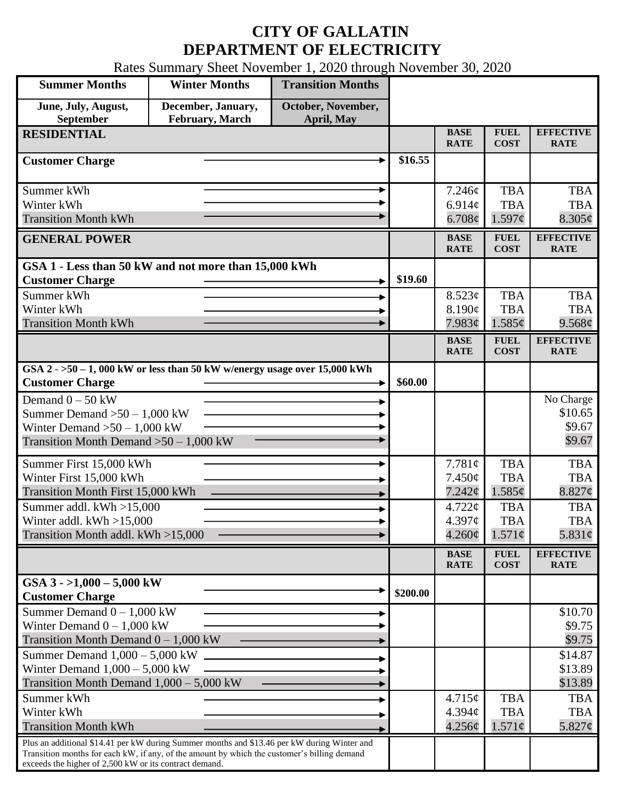## **CITY OF GALLATIN DEPARTMENT OF ELECTRICITY**

Rates Summary Sheet November 1, 2020 through November 30, 2020

| <b>Summer Months</b>                                                                                  | <b>Winter Months</b>                  | <b>Transition Months</b>         |          |                            |                                               |                                 |
|-------------------------------------------------------------------------------------------------------|---------------------------------------|----------------------------------|----------|----------------------------|-----------------------------------------------|---------------------------------|
| June, July, August,<br>September                                                                      | December, January,<br>February, March | October, November,<br>April, May |          |                            |                                               |                                 |
| <b>RESIDENTIAL</b>                                                                                    |                                       |                                  |          | <b>BASE</b>                | <b>FUEL</b>                                   | <b>EFFECTIVE</b>                |
|                                                                                                       |                                       |                                  |          | <b>RATE</b>                | <b>COST</b>                                   | <b>RATE</b>                     |
| <b>Customer Charge</b>                                                                                |                                       |                                  | \$16.55  |                            |                                               |                                 |
| Summer kWh                                                                                            |                                       |                                  |          | 7.246¢                     | <b>TBA</b>                                    | <b>TBA</b>                      |
| Winter kWh                                                                                            |                                       |                                  |          | 6.914c                     | <b>TBA</b>                                    | <b>TBA</b>                      |
| <b>Transition Month kWh</b>                                                                           |                                       |                                  |          | 6.708¢                     | 1.597¢                                        | $8.305\phi$                     |
| <b>GENERAL POWER</b>                                                                                  |                                       |                                  |          | <b>BASE</b><br><b>RATE</b> | <b>FUEL</b><br><b>COST</b>                    | <b>EFFECTIVE</b><br><b>RATE</b> |
| GSA 1 - Less than 50 kW and not more than 15,000 kWh                                                  |                                       |                                  |          |                            |                                               |                                 |
| <b>Customer Charge</b>                                                                                |                                       |                                  | \$19.60  |                            |                                               |                                 |
| Summer kWh<br>Winter kWh                                                                              |                                       |                                  |          | 8.523¢                     | <b>TBA</b><br><b>TBA</b>                      | <b>TBA</b>                      |
| <b>Transition Month kWh</b>                                                                           |                                       |                                  |          | 8.190¢<br>7.983¢           | 1.585¢                                        | <b>TBA</b><br>9.568¢            |
|                                                                                                       |                                       |                                  |          | <b>BASE</b>                | <b>FUEL</b>                                   | <b>EFFECTIVE</b>                |
|                                                                                                       |                                       |                                  |          | <b>RATE</b>                | <b>COST</b>                                   | <b>RATE</b>                     |
| GSA $2 - 50 - 1$ , 000 kW or less than 50 kW w/energy usage over 15,000 kWh<br><b>Customer Charge</b> |                                       |                                  | \$60.00  |                            |                                               |                                 |
| Demand $0 - 50$ kW                                                                                    |                                       |                                  |          |                            |                                               | No Charge                       |
| Summer Demand $>50-1,000$ kW                                                                          |                                       |                                  |          |                            |                                               | \$10.65                         |
| Winter Demand $>50-1,000$ kW                                                                          |                                       |                                  |          |                            |                                               | \$9.67                          |
| Transition Month Demand $>50-1,000$ kW                                                                |                                       |                                  |          |                            |                                               | \$9.67                          |
| Summer First 15,000 kWh                                                                               |                                       |                                  |          | 7.781¢                     | <b>TBA</b>                                    | <b>TBA</b>                      |
| Winter First 15,000 kWh                                                                               |                                       |                                  |          | 7.450¢                     | <b>TBA</b>                                    | <b>TBA</b>                      |
| Transition Month First 15,000 kWh                                                                     |                                       |                                  |          | 7.242¢                     | 1.585¢                                        | $8.827$ ¢                       |
| Summer addl. $kWh > 15,000$                                                                           |                                       |                                  |          | $4.722 \mathcal{C}$        | <b>TBA</b>                                    | <b>TBA</b><br><b>TBA</b>        |
| Winter addl. $kWh > 15,000$<br>Transition Month addl. kWh >15,000                                     |                                       |                                  |          | 4.397c<br>$4.260\phi$      | <b>TBA</b><br>$1.571\phi$                     | 5.831 $\phi$                    |
|                                                                                                       |                                       |                                  |          |                            |                                               |                                 |
|                                                                                                       |                                       |                                  |          | <b>BASE</b><br><b>RATE</b> | ${\bf F}{\bf U}{\bf E}{\bf L}$<br><b>COST</b> | <b>EFFECTIVE</b><br><b>RATE</b> |
| GSA $3 - 1,000 - 5,000$ kW<br><b>Customer Charge</b>                                                  |                                       |                                  | \$200.00 |                            |                                               |                                 |
| Summer Demand $0 - 1,000$ kW                                                                          |                                       |                                  |          |                            |                                               | \$10.70                         |
| Winter Demand $0 - 1,000$ kW                                                                          |                                       |                                  |          |                            |                                               | \$9.75                          |
| Transition Month Demand $0 - 1,000$ kW                                                                |                                       |                                  |          |                            |                                               | \$9.75                          |
| Summer Demand $1,000 - 5,000$ kW                                                                      |                                       |                                  |          |                            |                                               | \$14.87                         |
| Winter Demand $1,000 - 5,000$ kW                                                                      |                                       |                                  |          |                            |                                               | \$13.89                         |
| Transition Month Demand $1,000 - 5,000$ kW                                                            |                                       |                                  |          |                            |                                               | \$13.89                         |
| Summer kWh<br>Winter kWh                                                                              |                                       |                                  |          | 4.715¢<br>4.394c           | <b>TBA</b><br><b>TBA</b>                      | <b>TBA</b><br><b>TBA</b>        |
| <b>Transition Month kWh</b>                                                                           |                                       |                                  |          | 4.256¢                     | $1.571\phi$                                   | 5.827 $\phi$                    |
| Plus an additional \$14.41 per kW during Summer months and \$13.46 per kW during Winter and           |                                       |                                  |          |                            |                                               |                                 |
| Transition months for each kW, if any, of the amount by which the customer's billing demand           |                                       |                                  |          |                            |                                               |                                 |
| exceeds the higher of 2,500 kW or its contract demand.                                                |                                       |                                  |          |                            |                                               |                                 |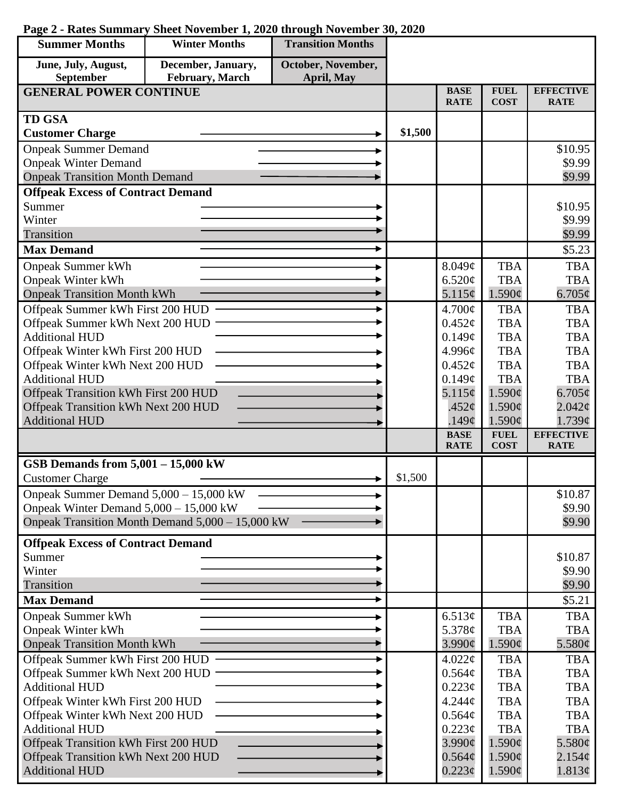| December, January,<br>October, November,<br>June, July, August,<br><b>September</b><br>February, March<br><b>April, May</b><br><b>BASE</b><br><b>FUEL</b><br><b>EFFECTIVE</b><br><b>GENERAL POWER CONTINUE</b><br><b>COST</b><br><b>RATE</b><br><b>RATE</b><br><b>TD GSA</b><br>\$1,500<br><b>Customer Charge</b><br><b>Onpeak Summer Demand</b><br>\$10.95<br><b>Onpeak Winter Demand</b><br>\$9.99<br><b>Onpeak Transition Month Demand</b><br>\$9.99<br><b>Offpeak Excess of Contract Demand</b><br>Summer<br>\$10.95<br>Winter<br>\$9.99<br>Transition<br>\$9.99<br><b>Max Demand</b><br>\$5.23<br><b>TBA</b><br><b>Onpeak Summer kWh</b><br>8.049c<br><b>TBA</b><br><b>Onpeak Winter kWh</b><br>6.520¢<br><b>TBA</b><br><b>TBA</b><br>5.115¢<br><b>Onpeak Transition Month kWh</b><br>1.590¢<br>6.705¢<br>Offpeak Summer kWh First 200 HUD<br>$4.700\text{¢}$<br><b>TBA</b><br><b>TBA</b><br>Offpeak Summer kWh Next 200 HUD<br><b>TBA</b><br>$0.452\epsilon$<br><b>TBA</b><br><b>Additional HUD</b><br>0.149¢<br><b>TBA</b><br><b>TBA</b><br>Offpeak Winter kWh First 200 HUD<br><b>TBA</b><br>4.996¢<br><b>TBA</b><br>Offpeak Winter kWh Next 200 HUD<br><b>TBA</b><br><b>TBA</b><br>$0.452\mathcal{C}$<br><b>Additional HUD</b><br>0.149¢<br><b>TBA</b><br><b>TBA</b><br>Offpeak Transition kWh First 200 HUD<br>5.115¢<br>1.590¢<br>6.705 $\phi$<br>Offpeak Transition kWh Next 200 HUD<br>1.590¢<br>$2.042\phi$<br>.452¢<br><b>Additional HUD</b><br>$1.590\phi$<br>1.739¢<br>.149 $\phi$<br><b>EFFECTIVE</b><br><b>BASE</b><br><b>FUEL</b><br><b>RATE</b><br><b>COST</b><br><b>RATE</b><br>GSB Demands from $5,001 - 15,000$ kW<br>\$1,500<br><b>Customer Charge</b><br>Onpeak Summer Demand 5,000 - 15,000 kW<br>\$10.87<br>Onpeak Winter Demand $5,000 - 15,000$ kW<br>\$9.90<br>Onpeak Transition Month Demand 5,000 - 15,000 kW<br>\$9.90<br><b>Offpeak Excess of Contract Demand</b><br>Summer<br>\$10.87<br>Winter<br>\$9.90<br>Transition<br>\$9.90<br><b>Max Demand</b><br>\$5.21<br><b>TBA</b><br><b>Onpeak Summer kWh</b><br>6.513¢<br><b>TBA</b><br><b>TBA</b><br><b>TBA</b><br><b>Onpeak Winter kWh</b><br>5.378¢<br><b>Onpeak Transition Month kWh</b><br>$3.990\ell$<br>$1.590\phi$<br>5.580¢<br>Offpeak Summer kWh First 200 HUD<br><b>TBA</b><br><b>TBA</b><br>4.022¢<br>Offpeak Summer kWh Next 200 HUD<br>0.564¢<br><b>TBA</b><br><b>TBA</b><br><b>Additional HUD</b><br>0.223¢<br><b>TBA</b><br><b>TBA</b><br>Offpeak Winter kWh First 200 HUD<br><b>TBA</b><br>4.244 <sub>c</sub><br><b>TBA</b><br>Offpeak Winter kWh Next 200 HUD<br><b>TBA</b><br>$0.564\mathcal{C}$<br><b>TBA</b><br><b>Additional HUD</b><br>$0.223\phi$<br><b>TBA</b><br><b>TBA</b><br>Offpeak Transition kWh First 200 HUD<br>$3.990\mathcal{\mathrm{\ell}}$<br>1.590¢<br>5.580¢<br>Offpeak Transition kWh Next 200 HUD<br>1.590¢<br>$0.564\phi$<br>2.154¢ | <b>Summer Months</b>  | <b>Winter Months</b> | <b>Transition Months</b> |  |             |             |        |
|-----------------------------------------------------------------------------------------------------------------------------------------------------------------------------------------------------------------------------------------------------------------------------------------------------------------------------------------------------------------------------------------------------------------------------------------------------------------------------------------------------------------------------------------------------------------------------------------------------------------------------------------------------------------------------------------------------------------------------------------------------------------------------------------------------------------------------------------------------------------------------------------------------------------------------------------------------------------------------------------------------------------------------------------------------------------------------------------------------------------------------------------------------------------------------------------------------------------------------------------------------------------------------------------------------------------------------------------------------------------------------------------------------------------------------------------------------------------------------------------------------------------------------------------------------------------------------------------------------------------------------------------------------------------------------------------------------------------------------------------------------------------------------------------------------------------------------------------------------------------------------------------------------------------------------------------------------------------------------------------------------------------------------------------------------------------------------------------------------------------------------------------------------------------------------------------------------------------------------------------------------------------------------------------------------------------------------------------------------------------------------------------------------------------------------------------------------------------------------------------------------------------------------------------------------------------------------------------------------------------------------------------------------------------------------------------------------------------------------------------------------------------------------------------------------------------------------------------------------------------|-----------------------|----------------------|--------------------------|--|-------------|-------------|--------|
|                                                                                                                                                                                                                                                                                                                                                                                                                                                                                                                                                                                                                                                                                                                                                                                                                                                                                                                                                                                                                                                                                                                                                                                                                                                                                                                                                                                                                                                                                                                                                                                                                                                                                                                                                                                                                                                                                                                                                                                                                                                                                                                                                                                                                                                                                                                                                                                                                                                                                                                                                                                                                                                                                                                                                                                                                                                                 |                       |                      |                          |  |             |             |        |
|                                                                                                                                                                                                                                                                                                                                                                                                                                                                                                                                                                                                                                                                                                                                                                                                                                                                                                                                                                                                                                                                                                                                                                                                                                                                                                                                                                                                                                                                                                                                                                                                                                                                                                                                                                                                                                                                                                                                                                                                                                                                                                                                                                                                                                                                                                                                                                                                                                                                                                                                                                                                                                                                                                                                                                                                                                                                 |                       |                      |                          |  |             |             |        |
|                                                                                                                                                                                                                                                                                                                                                                                                                                                                                                                                                                                                                                                                                                                                                                                                                                                                                                                                                                                                                                                                                                                                                                                                                                                                                                                                                                                                                                                                                                                                                                                                                                                                                                                                                                                                                                                                                                                                                                                                                                                                                                                                                                                                                                                                                                                                                                                                                                                                                                                                                                                                                                                                                                                                                                                                                                                                 |                       |                      |                          |  |             |             |        |
|                                                                                                                                                                                                                                                                                                                                                                                                                                                                                                                                                                                                                                                                                                                                                                                                                                                                                                                                                                                                                                                                                                                                                                                                                                                                                                                                                                                                                                                                                                                                                                                                                                                                                                                                                                                                                                                                                                                                                                                                                                                                                                                                                                                                                                                                                                                                                                                                                                                                                                                                                                                                                                                                                                                                                                                                                                                                 |                       |                      |                          |  |             |             |        |
|                                                                                                                                                                                                                                                                                                                                                                                                                                                                                                                                                                                                                                                                                                                                                                                                                                                                                                                                                                                                                                                                                                                                                                                                                                                                                                                                                                                                                                                                                                                                                                                                                                                                                                                                                                                                                                                                                                                                                                                                                                                                                                                                                                                                                                                                                                                                                                                                                                                                                                                                                                                                                                                                                                                                                                                                                                                                 |                       |                      |                          |  |             |             |        |
|                                                                                                                                                                                                                                                                                                                                                                                                                                                                                                                                                                                                                                                                                                                                                                                                                                                                                                                                                                                                                                                                                                                                                                                                                                                                                                                                                                                                                                                                                                                                                                                                                                                                                                                                                                                                                                                                                                                                                                                                                                                                                                                                                                                                                                                                                                                                                                                                                                                                                                                                                                                                                                                                                                                                                                                                                                                                 |                       |                      |                          |  |             |             |        |
|                                                                                                                                                                                                                                                                                                                                                                                                                                                                                                                                                                                                                                                                                                                                                                                                                                                                                                                                                                                                                                                                                                                                                                                                                                                                                                                                                                                                                                                                                                                                                                                                                                                                                                                                                                                                                                                                                                                                                                                                                                                                                                                                                                                                                                                                                                                                                                                                                                                                                                                                                                                                                                                                                                                                                                                                                                                                 |                       |                      |                          |  |             |             |        |
|                                                                                                                                                                                                                                                                                                                                                                                                                                                                                                                                                                                                                                                                                                                                                                                                                                                                                                                                                                                                                                                                                                                                                                                                                                                                                                                                                                                                                                                                                                                                                                                                                                                                                                                                                                                                                                                                                                                                                                                                                                                                                                                                                                                                                                                                                                                                                                                                                                                                                                                                                                                                                                                                                                                                                                                                                                                                 |                       |                      |                          |  |             |             |        |
|                                                                                                                                                                                                                                                                                                                                                                                                                                                                                                                                                                                                                                                                                                                                                                                                                                                                                                                                                                                                                                                                                                                                                                                                                                                                                                                                                                                                                                                                                                                                                                                                                                                                                                                                                                                                                                                                                                                                                                                                                                                                                                                                                                                                                                                                                                                                                                                                                                                                                                                                                                                                                                                                                                                                                                                                                                                                 |                       |                      |                          |  |             |             |        |
|                                                                                                                                                                                                                                                                                                                                                                                                                                                                                                                                                                                                                                                                                                                                                                                                                                                                                                                                                                                                                                                                                                                                                                                                                                                                                                                                                                                                                                                                                                                                                                                                                                                                                                                                                                                                                                                                                                                                                                                                                                                                                                                                                                                                                                                                                                                                                                                                                                                                                                                                                                                                                                                                                                                                                                                                                                                                 |                       |                      |                          |  |             |             |        |
|                                                                                                                                                                                                                                                                                                                                                                                                                                                                                                                                                                                                                                                                                                                                                                                                                                                                                                                                                                                                                                                                                                                                                                                                                                                                                                                                                                                                                                                                                                                                                                                                                                                                                                                                                                                                                                                                                                                                                                                                                                                                                                                                                                                                                                                                                                                                                                                                                                                                                                                                                                                                                                                                                                                                                                                                                                                                 |                       |                      |                          |  |             |             |        |
|                                                                                                                                                                                                                                                                                                                                                                                                                                                                                                                                                                                                                                                                                                                                                                                                                                                                                                                                                                                                                                                                                                                                                                                                                                                                                                                                                                                                                                                                                                                                                                                                                                                                                                                                                                                                                                                                                                                                                                                                                                                                                                                                                                                                                                                                                                                                                                                                                                                                                                                                                                                                                                                                                                                                                                                                                                                                 |                       |                      |                          |  |             |             |        |
|                                                                                                                                                                                                                                                                                                                                                                                                                                                                                                                                                                                                                                                                                                                                                                                                                                                                                                                                                                                                                                                                                                                                                                                                                                                                                                                                                                                                                                                                                                                                                                                                                                                                                                                                                                                                                                                                                                                                                                                                                                                                                                                                                                                                                                                                                                                                                                                                                                                                                                                                                                                                                                                                                                                                                                                                                                                                 |                       |                      |                          |  |             |             |        |
|                                                                                                                                                                                                                                                                                                                                                                                                                                                                                                                                                                                                                                                                                                                                                                                                                                                                                                                                                                                                                                                                                                                                                                                                                                                                                                                                                                                                                                                                                                                                                                                                                                                                                                                                                                                                                                                                                                                                                                                                                                                                                                                                                                                                                                                                                                                                                                                                                                                                                                                                                                                                                                                                                                                                                                                                                                                                 |                       |                      |                          |  |             |             |        |
|                                                                                                                                                                                                                                                                                                                                                                                                                                                                                                                                                                                                                                                                                                                                                                                                                                                                                                                                                                                                                                                                                                                                                                                                                                                                                                                                                                                                                                                                                                                                                                                                                                                                                                                                                                                                                                                                                                                                                                                                                                                                                                                                                                                                                                                                                                                                                                                                                                                                                                                                                                                                                                                                                                                                                                                                                                                                 |                       |                      |                          |  |             |             |        |
|                                                                                                                                                                                                                                                                                                                                                                                                                                                                                                                                                                                                                                                                                                                                                                                                                                                                                                                                                                                                                                                                                                                                                                                                                                                                                                                                                                                                                                                                                                                                                                                                                                                                                                                                                                                                                                                                                                                                                                                                                                                                                                                                                                                                                                                                                                                                                                                                                                                                                                                                                                                                                                                                                                                                                                                                                                                                 |                       |                      |                          |  |             |             |        |
|                                                                                                                                                                                                                                                                                                                                                                                                                                                                                                                                                                                                                                                                                                                                                                                                                                                                                                                                                                                                                                                                                                                                                                                                                                                                                                                                                                                                                                                                                                                                                                                                                                                                                                                                                                                                                                                                                                                                                                                                                                                                                                                                                                                                                                                                                                                                                                                                                                                                                                                                                                                                                                                                                                                                                                                                                                                                 |                       |                      |                          |  |             |             |        |
|                                                                                                                                                                                                                                                                                                                                                                                                                                                                                                                                                                                                                                                                                                                                                                                                                                                                                                                                                                                                                                                                                                                                                                                                                                                                                                                                                                                                                                                                                                                                                                                                                                                                                                                                                                                                                                                                                                                                                                                                                                                                                                                                                                                                                                                                                                                                                                                                                                                                                                                                                                                                                                                                                                                                                                                                                                                                 |                       |                      |                          |  |             |             |        |
|                                                                                                                                                                                                                                                                                                                                                                                                                                                                                                                                                                                                                                                                                                                                                                                                                                                                                                                                                                                                                                                                                                                                                                                                                                                                                                                                                                                                                                                                                                                                                                                                                                                                                                                                                                                                                                                                                                                                                                                                                                                                                                                                                                                                                                                                                                                                                                                                                                                                                                                                                                                                                                                                                                                                                                                                                                                                 |                       |                      |                          |  |             |             |        |
|                                                                                                                                                                                                                                                                                                                                                                                                                                                                                                                                                                                                                                                                                                                                                                                                                                                                                                                                                                                                                                                                                                                                                                                                                                                                                                                                                                                                                                                                                                                                                                                                                                                                                                                                                                                                                                                                                                                                                                                                                                                                                                                                                                                                                                                                                                                                                                                                                                                                                                                                                                                                                                                                                                                                                                                                                                                                 |                       |                      |                          |  |             |             |        |
|                                                                                                                                                                                                                                                                                                                                                                                                                                                                                                                                                                                                                                                                                                                                                                                                                                                                                                                                                                                                                                                                                                                                                                                                                                                                                                                                                                                                                                                                                                                                                                                                                                                                                                                                                                                                                                                                                                                                                                                                                                                                                                                                                                                                                                                                                                                                                                                                                                                                                                                                                                                                                                                                                                                                                                                                                                                                 |                       |                      |                          |  |             |             |        |
|                                                                                                                                                                                                                                                                                                                                                                                                                                                                                                                                                                                                                                                                                                                                                                                                                                                                                                                                                                                                                                                                                                                                                                                                                                                                                                                                                                                                                                                                                                                                                                                                                                                                                                                                                                                                                                                                                                                                                                                                                                                                                                                                                                                                                                                                                                                                                                                                                                                                                                                                                                                                                                                                                                                                                                                                                                                                 |                       |                      |                          |  |             |             |        |
|                                                                                                                                                                                                                                                                                                                                                                                                                                                                                                                                                                                                                                                                                                                                                                                                                                                                                                                                                                                                                                                                                                                                                                                                                                                                                                                                                                                                                                                                                                                                                                                                                                                                                                                                                                                                                                                                                                                                                                                                                                                                                                                                                                                                                                                                                                                                                                                                                                                                                                                                                                                                                                                                                                                                                                                                                                                                 |                       |                      |                          |  |             |             |        |
|                                                                                                                                                                                                                                                                                                                                                                                                                                                                                                                                                                                                                                                                                                                                                                                                                                                                                                                                                                                                                                                                                                                                                                                                                                                                                                                                                                                                                                                                                                                                                                                                                                                                                                                                                                                                                                                                                                                                                                                                                                                                                                                                                                                                                                                                                                                                                                                                                                                                                                                                                                                                                                                                                                                                                                                                                                                                 |                       |                      |                          |  |             |             |        |
|                                                                                                                                                                                                                                                                                                                                                                                                                                                                                                                                                                                                                                                                                                                                                                                                                                                                                                                                                                                                                                                                                                                                                                                                                                                                                                                                                                                                                                                                                                                                                                                                                                                                                                                                                                                                                                                                                                                                                                                                                                                                                                                                                                                                                                                                                                                                                                                                                                                                                                                                                                                                                                                                                                                                                                                                                                                                 |                       |                      |                          |  |             |             |        |
|                                                                                                                                                                                                                                                                                                                                                                                                                                                                                                                                                                                                                                                                                                                                                                                                                                                                                                                                                                                                                                                                                                                                                                                                                                                                                                                                                                                                                                                                                                                                                                                                                                                                                                                                                                                                                                                                                                                                                                                                                                                                                                                                                                                                                                                                                                                                                                                                                                                                                                                                                                                                                                                                                                                                                                                                                                                                 |                       |                      |                          |  |             |             |        |
|                                                                                                                                                                                                                                                                                                                                                                                                                                                                                                                                                                                                                                                                                                                                                                                                                                                                                                                                                                                                                                                                                                                                                                                                                                                                                                                                                                                                                                                                                                                                                                                                                                                                                                                                                                                                                                                                                                                                                                                                                                                                                                                                                                                                                                                                                                                                                                                                                                                                                                                                                                                                                                                                                                                                                                                                                                                                 |                       |                      |                          |  |             |             |        |
|                                                                                                                                                                                                                                                                                                                                                                                                                                                                                                                                                                                                                                                                                                                                                                                                                                                                                                                                                                                                                                                                                                                                                                                                                                                                                                                                                                                                                                                                                                                                                                                                                                                                                                                                                                                                                                                                                                                                                                                                                                                                                                                                                                                                                                                                                                                                                                                                                                                                                                                                                                                                                                                                                                                                                                                                                                                                 |                       |                      |                          |  |             |             |        |
|                                                                                                                                                                                                                                                                                                                                                                                                                                                                                                                                                                                                                                                                                                                                                                                                                                                                                                                                                                                                                                                                                                                                                                                                                                                                                                                                                                                                                                                                                                                                                                                                                                                                                                                                                                                                                                                                                                                                                                                                                                                                                                                                                                                                                                                                                                                                                                                                                                                                                                                                                                                                                                                                                                                                                                                                                                                                 |                       |                      |                          |  |             |             |        |
|                                                                                                                                                                                                                                                                                                                                                                                                                                                                                                                                                                                                                                                                                                                                                                                                                                                                                                                                                                                                                                                                                                                                                                                                                                                                                                                                                                                                                                                                                                                                                                                                                                                                                                                                                                                                                                                                                                                                                                                                                                                                                                                                                                                                                                                                                                                                                                                                                                                                                                                                                                                                                                                                                                                                                                                                                                                                 |                       |                      |                          |  |             |             |        |
|                                                                                                                                                                                                                                                                                                                                                                                                                                                                                                                                                                                                                                                                                                                                                                                                                                                                                                                                                                                                                                                                                                                                                                                                                                                                                                                                                                                                                                                                                                                                                                                                                                                                                                                                                                                                                                                                                                                                                                                                                                                                                                                                                                                                                                                                                                                                                                                                                                                                                                                                                                                                                                                                                                                                                                                                                                                                 |                       |                      |                          |  |             |             |        |
|                                                                                                                                                                                                                                                                                                                                                                                                                                                                                                                                                                                                                                                                                                                                                                                                                                                                                                                                                                                                                                                                                                                                                                                                                                                                                                                                                                                                                                                                                                                                                                                                                                                                                                                                                                                                                                                                                                                                                                                                                                                                                                                                                                                                                                                                                                                                                                                                                                                                                                                                                                                                                                                                                                                                                                                                                                                                 |                       |                      |                          |  |             |             |        |
|                                                                                                                                                                                                                                                                                                                                                                                                                                                                                                                                                                                                                                                                                                                                                                                                                                                                                                                                                                                                                                                                                                                                                                                                                                                                                                                                                                                                                                                                                                                                                                                                                                                                                                                                                                                                                                                                                                                                                                                                                                                                                                                                                                                                                                                                                                                                                                                                                                                                                                                                                                                                                                                                                                                                                                                                                                                                 |                       |                      |                          |  |             |             |        |
|                                                                                                                                                                                                                                                                                                                                                                                                                                                                                                                                                                                                                                                                                                                                                                                                                                                                                                                                                                                                                                                                                                                                                                                                                                                                                                                                                                                                                                                                                                                                                                                                                                                                                                                                                                                                                                                                                                                                                                                                                                                                                                                                                                                                                                                                                                                                                                                                                                                                                                                                                                                                                                                                                                                                                                                                                                                                 |                       |                      |                          |  |             |             |        |
|                                                                                                                                                                                                                                                                                                                                                                                                                                                                                                                                                                                                                                                                                                                                                                                                                                                                                                                                                                                                                                                                                                                                                                                                                                                                                                                                                                                                                                                                                                                                                                                                                                                                                                                                                                                                                                                                                                                                                                                                                                                                                                                                                                                                                                                                                                                                                                                                                                                                                                                                                                                                                                                                                                                                                                                                                                                                 |                       |                      |                          |  |             |             |        |
|                                                                                                                                                                                                                                                                                                                                                                                                                                                                                                                                                                                                                                                                                                                                                                                                                                                                                                                                                                                                                                                                                                                                                                                                                                                                                                                                                                                                                                                                                                                                                                                                                                                                                                                                                                                                                                                                                                                                                                                                                                                                                                                                                                                                                                                                                                                                                                                                                                                                                                                                                                                                                                                                                                                                                                                                                                                                 |                       |                      |                          |  |             |             |        |
|                                                                                                                                                                                                                                                                                                                                                                                                                                                                                                                                                                                                                                                                                                                                                                                                                                                                                                                                                                                                                                                                                                                                                                                                                                                                                                                                                                                                                                                                                                                                                                                                                                                                                                                                                                                                                                                                                                                                                                                                                                                                                                                                                                                                                                                                                                                                                                                                                                                                                                                                                                                                                                                                                                                                                                                                                                                                 |                       |                      |                          |  |             |             |        |
|                                                                                                                                                                                                                                                                                                                                                                                                                                                                                                                                                                                                                                                                                                                                                                                                                                                                                                                                                                                                                                                                                                                                                                                                                                                                                                                                                                                                                                                                                                                                                                                                                                                                                                                                                                                                                                                                                                                                                                                                                                                                                                                                                                                                                                                                                                                                                                                                                                                                                                                                                                                                                                                                                                                                                                                                                                                                 |                       |                      |                          |  |             |             |        |
|                                                                                                                                                                                                                                                                                                                                                                                                                                                                                                                                                                                                                                                                                                                                                                                                                                                                                                                                                                                                                                                                                                                                                                                                                                                                                                                                                                                                                                                                                                                                                                                                                                                                                                                                                                                                                                                                                                                                                                                                                                                                                                                                                                                                                                                                                                                                                                                                                                                                                                                                                                                                                                                                                                                                                                                                                                                                 |                       |                      |                          |  |             |             |        |
|                                                                                                                                                                                                                                                                                                                                                                                                                                                                                                                                                                                                                                                                                                                                                                                                                                                                                                                                                                                                                                                                                                                                                                                                                                                                                                                                                                                                                                                                                                                                                                                                                                                                                                                                                                                                                                                                                                                                                                                                                                                                                                                                                                                                                                                                                                                                                                                                                                                                                                                                                                                                                                                                                                                                                                                                                                                                 |                       |                      |                          |  |             |             |        |
|                                                                                                                                                                                                                                                                                                                                                                                                                                                                                                                                                                                                                                                                                                                                                                                                                                                                                                                                                                                                                                                                                                                                                                                                                                                                                                                                                                                                                                                                                                                                                                                                                                                                                                                                                                                                                                                                                                                                                                                                                                                                                                                                                                                                                                                                                                                                                                                                                                                                                                                                                                                                                                                                                                                                                                                                                                                                 |                       |                      |                          |  |             |             |        |
|                                                                                                                                                                                                                                                                                                                                                                                                                                                                                                                                                                                                                                                                                                                                                                                                                                                                                                                                                                                                                                                                                                                                                                                                                                                                                                                                                                                                                                                                                                                                                                                                                                                                                                                                                                                                                                                                                                                                                                                                                                                                                                                                                                                                                                                                                                                                                                                                                                                                                                                                                                                                                                                                                                                                                                                                                                                                 |                       |                      |                          |  |             |             |        |
|                                                                                                                                                                                                                                                                                                                                                                                                                                                                                                                                                                                                                                                                                                                                                                                                                                                                                                                                                                                                                                                                                                                                                                                                                                                                                                                                                                                                                                                                                                                                                                                                                                                                                                                                                                                                                                                                                                                                                                                                                                                                                                                                                                                                                                                                                                                                                                                                                                                                                                                                                                                                                                                                                                                                                                                                                                                                 |                       |                      |                          |  |             |             |        |
|                                                                                                                                                                                                                                                                                                                                                                                                                                                                                                                                                                                                                                                                                                                                                                                                                                                                                                                                                                                                                                                                                                                                                                                                                                                                                                                                                                                                                                                                                                                                                                                                                                                                                                                                                                                                                                                                                                                                                                                                                                                                                                                                                                                                                                                                                                                                                                                                                                                                                                                                                                                                                                                                                                                                                                                                                                                                 |                       |                      |                          |  |             |             |        |
|                                                                                                                                                                                                                                                                                                                                                                                                                                                                                                                                                                                                                                                                                                                                                                                                                                                                                                                                                                                                                                                                                                                                                                                                                                                                                                                                                                                                                                                                                                                                                                                                                                                                                                                                                                                                                                                                                                                                                                                                                                                                                                                                                                                                                                                                                                                                                                                                                                                                                                                                                                                                                                                                                                                                                                                                                                                                 |                       |                      |                          |  |             |             |        |
|                                                                                                                                                                                                                                                                                                                                                                                                                                                                                                                                                                                                                                                                                                                                                                                                                                                                                                                                                                                                                                                                                                                                                                                                                                                                                                                                                                                                                                                                                                                                                                                                                                                                                                                                                                                                                                                                                                                                                                                                                                                                                                                                                                                                                                                                                                                                                                                                                                                                                                                                                                                                                                                                                                                                                                                                                                                                 |                       |                      |                          |  |             |             |        |
|                                                                                                                                                                                                                                                                                                                                                                                                                                                                                                                                                                                                                                                                                                                                                                                                                                                                                                                                                                                                                                                                                                                                                                                                                                                                                                                                                                                                                                                                                                                                                                                                                                                                                                                                                                                                                                                                                                                                                                                                                                                                                                                                                                                                                                                                                                                                                                                                                                                                                                                                                                                                                                                                                                                                                                                                                                                                 | <b>Additional HUD</b> |                      |                          |  | $0.223\phi$ | $1.590\phi$ | 1.813¢ |

## **Page 2 - Rates Summary Sheet November 1, 2020 through November 30, 2020**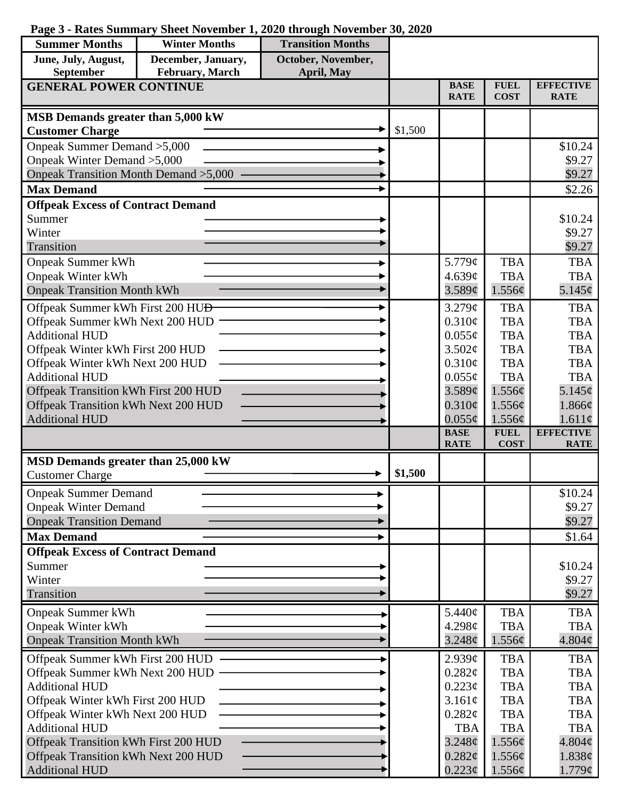|  |  |  |  |  |  |  |  | Page 3 - Rates Summary Sheet November 1, 2020 through November 30, 2020 |  |  |  |
|--|--|--|--|--|--|--|--|-------------------------------------------------------------------------|--|--|--|
|--|--|--|--|--|--|--|--|-------------------------------------------------------------------------|--|--|--|

| <b>Summer Months</b>                                     | <b>Winter Months</b> | <b>Transition Months</b> |         |                            |                            |                                 |
|----------------------------------------------------------|----------------------|--------------------------|---------|----------------------------|----------------------------|---------------------------------|
| June, July, August,                                      | December, January,   | October, November,       |         |                            |                            |                                 |
| September                                                | February, March      | April, May               |         |                            |                            |                                 |
| <b>GENERAL POWER CONTINUE</b>                            |                      |                          |         | <b>BASE</b><br><b>RATE</b> | <b>FUEL</b><br><b>COST</b> | <b>EFFECTIVE</b><br><b>RATE</b> |
| MSB Demands greater than 5,000 kW                        |                      |                          |         |                            |                            |                                 |
| <b>Customer Charge</b>                                   |                      |                          | \$1,500 |                            |                            |                                 |
| Onpeak Summer Demand > 5,000                             |                      |                          |         |                            |                            | \$10.24                         |
| Onpeak Winter Demand > 5,000                             |                      |                          |         |                            |                            | \$9.27                          |
| Onpeak Transition Month Demand > 5,000                   |                      |                          |         |                            |                            | \$9.27                          |
| <b>Max Demand</b>                                        |                      |                          |         |                            |                            | \$2.26                          |
| <b>Offpeak Excess of Contract Demand</b>                 |                      |                          |         |                            |                            |                                 |
| Summer                                                   |                      |                          |         |                            |                            | \$10.24                         |
| Winter                                                   |                      |                          |         |                            |                            | \$9.27                          |
| Transition                                               |                      |                          |         |                            |                            | \$9.27                          |
| <b>Onpeak Summer kWh</b>                                 |                      |                          |         | 5.779 $\phi$               | <b>TBA</b>                 | <b>TBA</b>                      |
| <b>Onpeak Winter kWh</b>                                 |                      |                          |         | 4.639¢                     | <b>TBA</b>                 | <b>TBA</b>                      |
| <b>Onpeak Transition Month kWh</b>                       |                      |                          |         | 3.589¢                     | 1.556¢                     | 5.145¢                          |
| Offpeak Summer kWh First 200 HU <del>D</del>             |                      |                          |         | 3.279¢                     | <b>TBA</b>                 | <b>TBA</b>                      |
| Offpeak Summer kWh Next 200 HUD                          |                      |                          |         | 0.310¢                     | <b>TBA</b>                 | <b>TBA</b>                      |
| <b>Additional HUD</b>                                    |                      |                          |         | $0.055\phi$                | <b>TBA</b>                 | <b>TBA</b>                      |
| Offpeak Winter kWh First 200 HUD                         |                      |                          |         | 3.502¢                     | <b>TBA</b>                 | <b>TBA</b>                      |
| Offpeak Winter kWh Next 200 HUD<br><b>Additional HUD</b> |                      |                          |         | 0.310¢<br>$0.055\phi$      | <b>TBA</b><br><b>TBA</b>   | <b>TBA</b><br><b>TBA</b>        |
| Offpeak Transition kWh First 200 HUD                     |                      |                          |         | $3.589\mathcal{C}$         | 1.556¢                     | 5.145¢                          |
| Offpeak Transition kWh Next 200 HUD                      |                      |                          |         | $0.310\epsilon$            | 1.556¢                     | 1.866¢                          |
| <b>Additional HUD</b>                                    |                      |                          |         | $0.055\phi$                | 1.556¢                     | 1.611¢                          |
|                                                          |                      |                          |         | <b>BASE</b>                | <b>FUEL</b>                | <b>EFFECTIVE</b>                |
|                                                          |                      |                          |         | <b>RATE</b>                | <b>COST</b>                | <b>RATE</b>                     |
| MSD Demands greater than 25,000 kW                       |                      |                          | \$1,500 |                            |                            |                                 |
| <b>Customer Charge</b>                                   |                      |                          |         |                            |                            |                                 |
| <b>Onpeak Summer Demand</b>                              |                      |                          |         |                            |                            | \$10.24                         |
| <b>Onpeak Winter Demand</b>                              |                      |                          |         |                            |                            | \$9.27                          |
| <b>Onpeak Transition Demand</b>                          |                      |                          |         |                            |                            | \$9.27                          |
| <b>Max Demand</b>                                        |                      |                          |         |                            |                            | \$1.64                          |
| <b>Offpeak Excess of Contract Demand</b>                 |                      |                          |         |                            |                            |                                 |
| Summer                                                   |                      |                          |         |                            |                            | \$10.24                         |
| Winter<br>Transition                                     |                      |                          |         |                            |                            | \$9.27<br>\$9.27                |
|                                                          |                      |                          |         | 5.440¢                     | <b>TBA</b>                 | <b>TBA</b>                      |
| <b>Onpeak Summer kWh</b><br><b>Onpeak Winter kWh</b>     |                      |                          |         | 4.298c                     | <b>TBA</b>                 | <b>TBA</b>                      |
| <b>Onpeak Transition Month kWh</b>                       |                      |                          |         | 3.248 <sub>¢</sub>         | 1.556¢                     | 4.804¢                          |
|                                                          |                      |                          |         |                            |                            |                                 |
| Offpeak Summer kWh First 200 HUD                         |                      |                          |         | 2.939¢                     | <b>TBA</b>                 | <b>TBA</b>                      |
| Offpeak Summer kWh Next 200 HUD<br><b>Additional HUD</b> |                      |                          |         | 0.282¢<br>$0.223\phi$      | <b>TBA</b><br><b>TBA</b>   | <b>TBA</b><br><b>TBA</b>        |
| Offpeak Winter kWh First 200 HUD                         |                      |                          |         | 3.161¢                     | <b>TBA</b>                 | <b>TBA</b>                      |
| Offpeak Winter kWh Next 200 HUD                          |                      |                          |         | 0.282¢                     | <b>TBA</b>                 | <b>TBA</b>                      |
| <b>Additional HUD</b>                                    |                      |                          |         | <b>TBA</b>                 | <b>TBA</b>                 | <b>TBA</b>                      |
| Offpeak Transition kWh First 200 HUD                     |                      |                          |         | $3.248\phi$                | 1.556¢                     | 4.804¢                          |
| Offpeak Transition kWh Next 200 HUD                      |                      |                          |         | $0.282\phi$                | 1.556¢                     | 1.838¢                          |
| <b>Additional HUD</b>                                    |                      |                          |         | $0.223\phi$                | 1.556¢                     | $1.779\phi$                     |